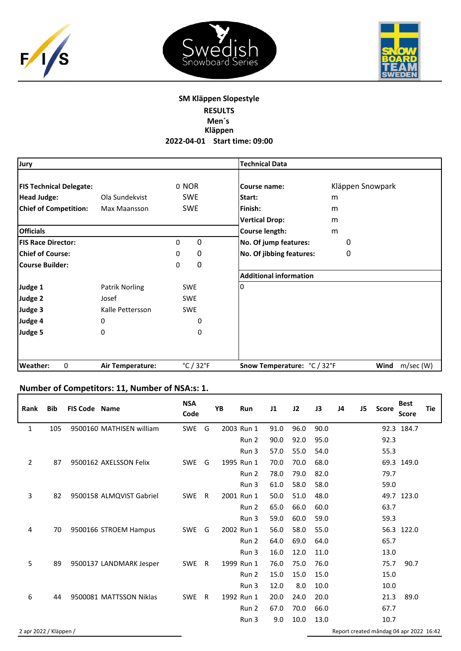





## **SM Kläppen Slopestyle RESULTS Men´s**

**Kläppen 2022‐04‐01 Start time: 09:00**

| Jury                           |                  |                                | <b>Technical Data</b>         |                   |
|--------------------------------|------------------|--------------------------------|-------------------------------|-------------------|
| <b>FIS Technical Delegate:</b> |                  | 0 NOR                          | Course name:                  | Kläppen Snowpark  |
| <b>Head Judge:</b>             | Ola Sundekvist   | <b>SWE</b>                     | Start:                        | m                 |
| <b>Chief of Competition:</b>   | Max Maansson     | <b>SWE</b>                     | Finish:                       | m                 |
|                                |                  |                                | <b>Vertical Drop:</b>         | m                 |
| <b>Officials</b>               |                  |                                | Course length:                | m                 |
| <b>FIS Race Director:</b>      |                  | 0<br>0                         | No. Of jump features:         | 0                 |
| <b>Chief of Course:</b>        |                  | 0<br>0                         | No. Of jibbing features:      | $\mathbf 0$       |
| <b>Course Builder:</b>         |                  | 0<br>0                         |                               |                   |
|                                |                  |                                | <b>Additional information</b> |                   |
| Judge 1                        | Patrik Norling   | <b>SWE</b>                     | 0                             |                   |
| Judge 2                        | Josef            | <b>SWE</b>                     |                               |                   |
| Judge 3                        | Kalle Pettersson | <b>SWE</b>                     |                               |                   |
| Judge 4                        | 0                | 0                              |                               |                   |
| Judge 5                        | 0                | 0                              |                               |                   |
|                                |                  |                                |                               |                   |
| Weather:<br>0                  | Air Temperature: | $^{\circ}$ C / 32 $^{\circ}$ F | Snow Temperature: °C / 32°F   | Wind<br>m/sec (W) |

## **Number of Competitors: 11, Number of NSA:s: 1.**

| <b>Rank</b>            | <b>Bib</b> | <b>FIS Code Name</b> |                          | <b>NSA</b><br>Code |              | YB | Run        | J1   | J2   | J3   | J <sub>4</sub>                          | J <sub>5</sub> | <b>Score</b> | <b>Best</b><br><b>Score</b> | <b>Tie</b> |
|------------------------|------------|----------------------|--------------------------|--------------------|--------------|----|------------|------|------|------|-----------------------------------------|----------------|--------------|-----------------------------|------------|
| $\mathbf{1}$           | 105        |                      | 9500160 MATHISEN william | SWE                | G            |    | 2003 Run 1 | 91.0 | 96.0 | 90.0 |                                         |                |              | 92.3 184.7                  |            |
|                        |            |                      |                          |                    |              |    | Run 2      | 90.0 | 92.0 | 95.0 |                                         |                | 92.3         |                             |            |
|                        |            |                      |                          |                    |              |    | Run 3      | 57.0 | 55.0 | 54.0 |                                         |                | 55.3         |                             |            |
| $\overline{2}$         | 87         |                      | 9500162 AXELSSON Felix   | <b>SWE</b>         | G            |    | 1995 Run 1 | 70.0 | 70.0 | 68.0 |                                         |                |              | 69.3 149.0                  |            |
|                        |            |                      |                          |                    |              |    | Run 2      | 78.0 | 79.0 | 82.0 |                                         |                | 79.7         |                             |            |
|                        |            |                      |                          |                    |              |    | Run 3      | 61.0 | 58.0 | 58.0 |                                         |                | 59.0         |                             |            |
| 3                      | 82         |                      | 9500158 ALMQVIST Gabriel | SWE                | R            |    | 2001 Run 1 | 50.0 | 51.0 | 48.0 |                                         |                |              | 49.7 123.0                  |            |
|                        |            |                      |                          |                    |              |    | Run 2      | 65.0 | 66.0 | 60.0 |                                         |                | 63.7         |                             |            |
|                        |            |                      |                          |                    |              |    | Run 3      | 59.0 | 60.0 | 59.0 |                                         |                | 59.3         |                             |            |
| 4                      | 70         |                      | 9500166 STROEM Hampus    | SWE                | G            |    | 2002 Run 1 | 56.0 | 58.0 | 55.0 |                                         |                |              | 56.3 122.0                  |            |
|                        |            |                      |                          |                    |              |    | Run 2      | 64.0 | 69.0 | 64.0 |                                         |                | 65.7         |                             |            |
|                        |            |                      |                          |                    |              |    | Run 3      | 16.0 | 12.0 | 11.0 |                                         |                | 13.0         |                             |            |
| 5                      | 89         |                      | 9500137 LANDMARK Jesper  | <b>SWE</b>         | $\mathsf{R}$ |    | 1999 Run 1 | 76.0 | 75.0 | 76.0 |                                         |                | 75.7         | 90.7                        |            |
|                        |            |                      |                          |                    |              |    | Run 2      | 15.0 | 15.0 | 15.0 |                                         |                | 15.0         |                             |            |
|                        |            |                      |                          |                    |              |    | Run 3      | 12.0 | 8.0  | 10.0 |                                         |                | 10.0         |                             |            |
| 6                      | 44         |                      | 9500081 MATTSSON Niklas  | <b>SWE</b>         | R            |    | 1992 Run 1 | 20.0 | 24.0 | 20.0 |                                         |                | 21.3         | 89.0                        |            |
|                        |            |                      |                          |                    |              |    | Run 2      | 67.0 | 70.0 | 66.0 |                                         |                | 67.7         |                             |            |
|                        |            |                      |                          |                    |              |    | Run 3      | 9.0  | 10.0 | 13.0 |                                         |                | 10.7         |                             |            |
| 2 apr 2022 / Kläppen / |            |                      |                          |                    |              |    |            |      |      |      | Report created måndag 04 apr 2022 16:42 |                |              |                             |            |